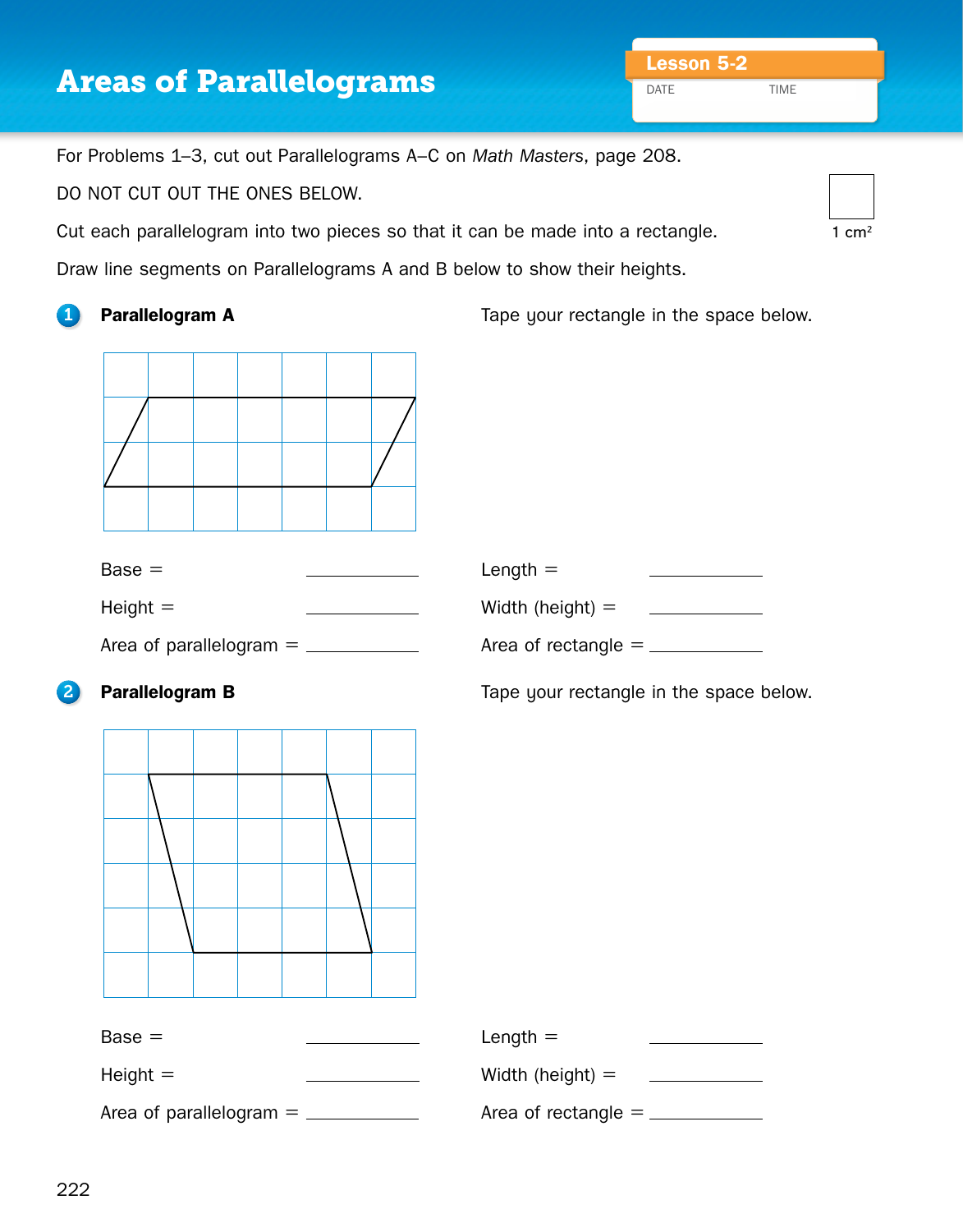## **Areas of Parallelograms**

DATE TIME

For Problems 1–3, cut out Parallelograms A–C on *Math Masters*, page 208.

DO NOT CUT OUT THE ONES BELOW.

Cut each parallelogram into two pieces so that it can be made into a rectangle.

Draw line segments on Parallelograms A and B below to show their heights.

**1 Parallelogram A Tape your rectangle in the space below.** The space below.



EM4\_MJ2\_G6\_U05\_L02\_006A.ai  $Base =$ Height  $=$ Area of parallelogram =  $\frac{1}{2}$ Length  $=$ Width (height) =  $\frac{1}{2}$ Area of rectangle =

## **2 Parallelogram B** Tape your rectangle in the space below.



EM4\_MJ2\_G6\_U05\_L02\_008A.ai Height =  $Base =$ Area of parallelogram = Length  $=$ Width (height)  $=$ Area of rectangle =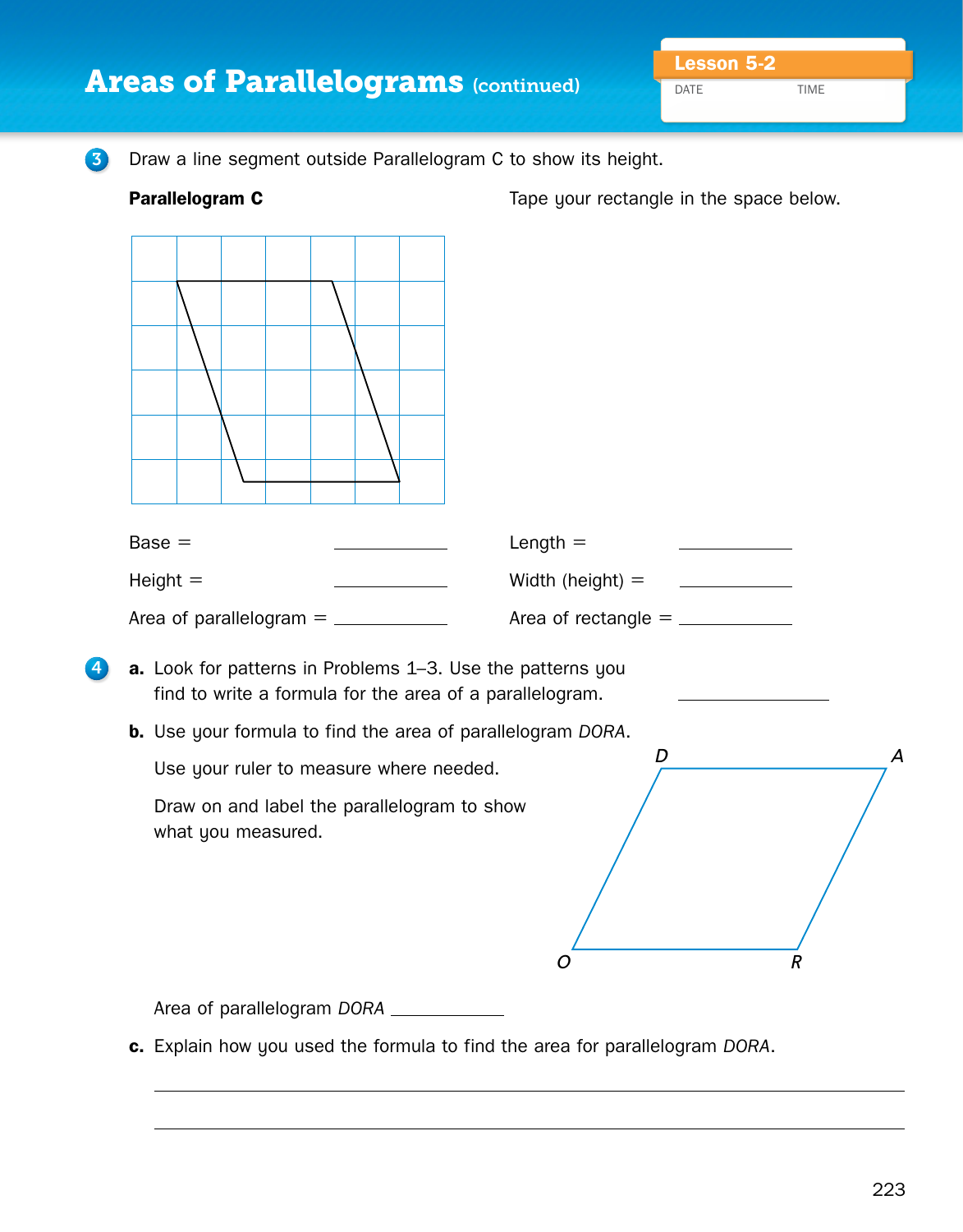|   |                                                                                                                        |                                         | <b>Lesson 5-2</b> |                  |
|---|------------------------------------------------------------------------------------------------------------------------|-----------------------------------------|-------------------|------------------|
|   | <b>Areas of Parallelograms (continued)</b>                                                                             |                                         | DATE              | TIME             |
|   |                                                                                                                        |                                         |                   |                  |
| 6 | Draw a line segment outside Parallelogram C to show its height.                                                        |                                         |                   |                  |
|   | Parallelogram C                                                                                                        | Tape your rectangle in the space below. |                   |                  |
|   |                                                                                                                        |                                         |                   |                  |
|   | $Base =$                                                                                                               | Length $=$                              |                   |                  |
|   | $Height =$                                                                                                             | Width (height) $=$                      |                   |                  |
|   |                                                                                                                        |                                         |                   |                  |
|   | a. Look for patterns in Problems 1-3. Use the patterns you<br>find to write a formula for the area of a parallelogram. |                                         |                   |                  |
|   | b. Use your formula to find the area of parallelogram DORA.                                                            |                                         |                   |                  |
|   | D<br>$\boldsymbol{A}$<br>Use your ruler to measure where needed.                                                       |                                         |                   |                  |
|   | Draw on and label the parallelogram to show<br>what you measured.                                                      | O                                       |                   | $\boldsymbol{R}$ |
|   | Area of parallelogram DORA _________                                                                                   |                                         |                   |                  |
|   |                                                                                                                        |                                         |                   |                  |

**c.** Explain how you used the formula to find the area for parallelogram DORA.